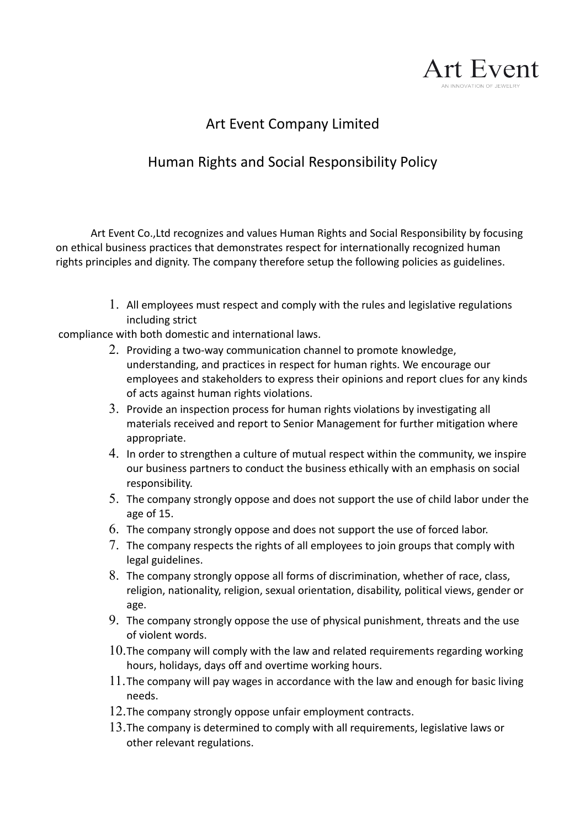

## Art Event Company Limited

## Human Rights and Social Responsibility Policy

Art Event Co.,Ltd recognizes and values Human Rights and Social Responsibility by focusing on ethical business practices that demonstrates respect for internationally recognized human rights principles and dignity. The company therefore setup the following policies as guidelines.

> 1. All employees must respect and comply with the rules and legislative regulations including strict

compliance with both domestic and international laws.

- 2. Providing a two-way communication channel to promote knowledge, understanding, and practices in respect for human rights. We encourage our employees and stakeholders to express their opinions and report clues for any kinds of acts against human rights violations.
- 3. Provide an inspection process for human rights violations by investigating all materials received and report to Senior Management for further mitigation where appropriate.
- 4. In order to strengthen a culture of mutual respect within the community, we inspire our business partners to conduct the business ethically with an emphasis on social responsibility.
- 5. The company strongly oppose and does not support the use of child labor under the age of 15.
- 6. The company strongly oppose and does not support the use of forced labor.
- 7. The company respects the rights of all employees to join groups that comply with legal guidelines.
- 8. The company strongly oppose all forms of discrimination, whether of race, class, religion, nationality, religion, sexual orientation, disability, political views, gender or age.
- 9. The company strongly oppose the use of physical punishment, threats and the use of violent words.
- $10.$  The company will comply with the law and related requirements regarding working hours, holidays, days off and overtime working hours.
- 11.The company will pay wages in accordance with the law and enough for basic living needs.
- 12.The company strongly oppose unfair employment contracts.
- 13.The company is determined to comply with all requirements, legislative laws or other relevant regulations.